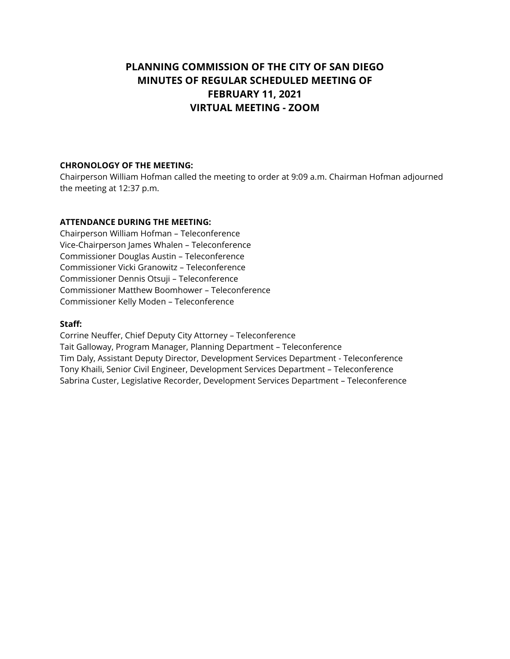# **PLANNING COMMISSION OF THE CITY OF SAN DIEGO MINUTES OF REGULAR SCHEDULED MEETING OF FEBRUARY 11, 2021 VIRTUAL MEETING - ZOOM**

#### **CHRONOLOGY OF THE MEETING:**

Chairperson William Hofman called the meeting to order at 9:09 a.m. Chairman Hofman adjourned the meeting at 12:37 p.m.

#### **ATTENDANCE DURING THE MEETING:**

Chairperson William Hofman – Teleconference Vice-Chairperson James Whalen – Teleconference Commissioner Douglas Austin – Teleconference Commissioner Vicki Granowitz – Teleconference Commissioner Dennis Otsuji – Teleconference Commissioner Matthew Boomhower – Teleconference Commissioner Kelly Moden – Teleconference

#### **Staff:**

Corrine Neuffer, Chief Deputy City Attorney – Teleconference Tait Galloway, Program Manager, Planning Department – Teleconference Tim Daly, Assistant Deputy Director, Development Services Department - Teleconference Tony Khaili, Senior Civil Engineer, Development Services Department – Teleconference Sabrina Custer, Legislative Recorder, Development Services Department – Teleconference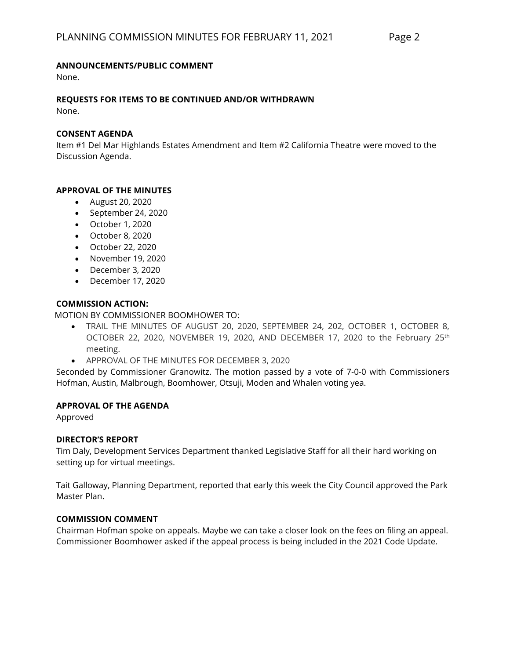#### **ANNOUNCEMENTS/PUBLIC COMMENT**

None.

# **REQUESTS FOR ITEMS TO BE CONTINUED AND/OR WITHDRAWN**

None.

#### **CONSENT AGENDA**

Item #1 Del Mar Highlands Estates Amendment and Item #2 California Theatre were moved to the Discussion Agenda.

# **APPROVAL OF THE MINUTES**

- August 20, 2020
- September 24, 2020
- October 1, 2020
- October 8, 2020
- October 22, 2020
- November 19, 2020
- December 3, 2020
- December 17, 2020

#### **COMMISSION ACTION:**

MOTION BY COMMISSIONER BOOMHOWER TO:

- TRAIL THE MINUTES OF AUGUST 20, 2020, SEPTEMBER 24, 202, OCTOBER 1, OCTOBER 8, OCTOBER 22, 2020, NOVEMBER 19, 2020, AND DECEMBER 17, 2020 to the February 25<sup>th</sup> meeting.
- APPROVAL OF THE MINUTES FOR DECEMBER 3, 2020

Seconded by Commissioner Granowitz. The motion passed by a vote of 7-0-0 with Commissioners Hofman, Austin, Malbrough, Boomhower, Otsuji, Moden and Whalen voting yea.

# **APPROVAL OF THE AGENDA**

Approved

# **DIRECTOR'S REPORT**

Tim Daly, Development Services Department thanked Legislative Staff for all their hard working on setting up for virtual meetings.

Tait Galloway, Planning Department, reported that early this week the City Council approved the Park Master Plan.

# **COMMISSION COMMENT**

Chairman Hofman spoke on appeals. Maybe we can take a closer look on the fees on filing an appeal. Commissioner Boomhower asked if the appeal process is being included in the 2021 Code Update.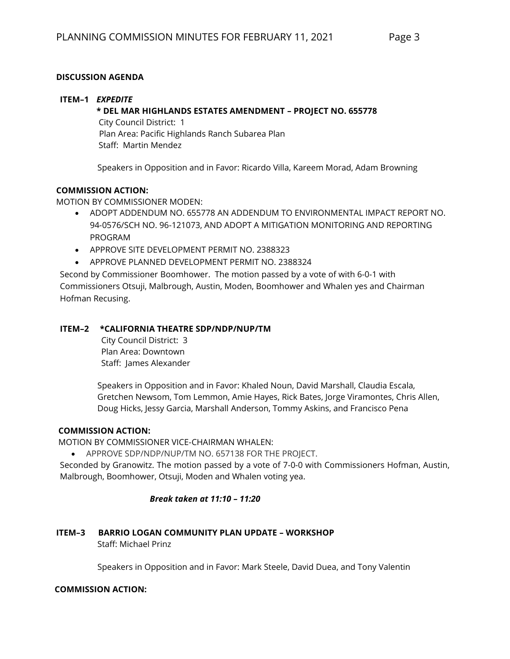# **DISCUSSION AGENDA**

#### **ITEM–1** *EXPEDITE*

#### **\* DEL MAR HIGHLANDS ESTATES AMENDMENT – PROJECT NO. 655778**

 City Council District: 1 Plan Area: Pacific Highlands Ranch Subarea Plan Staff: Martin Mendez

Speakers in Opposition and in Favor: Ricardo Villa, Kareem Morad, Adam Browning

# **COMMISSION ACTION:**

MOTION BY COMMISSIONER MODEN:

- ADOPT ADDENDUM NO. 655778 AN ADDENDUM TO ENVIRONMENTAL IMPACT REPORT NO. 94-0576/SCH NO. 96-121073, AND ADOPT A MITIGATION MONITORING AND REPORTING PROGRAM
- APPROVE SITE DEVELOPMENT PERMIT NO. 2388323
- APPROVE PLANNED DEVELOPMENT PERMIT NO. 2388324

Second by Commissioner Boomhower. The motion passed by a vote of with 6-0-1 with Commissioners Otsuji, Malbrough, Austin, Moden, Boomhower and Whalen yes and Chairman Hofman Recusing.

# **ITEM–2 \*CALIFORNIA THEATRE SDP/NDP/NUP/TM**

City Council District: 3 Plan Area: Downtown Staff: James Alexander

Speakers in Opposition and in Favor: Khaled Noun, David Marshall, Claudia Escala, Gretchen Newsom, Tom Lemmon, Amie Hayes, Rick Bates, Jorge Viramontes, Chris Allen, Doug Hicks, Jessy Garcia, Marshall Anderson, Tommy Askins, and Francisco Pena

# **COMMISSION ACTION:**

MOTION BY COMMISSIONER VICE-CHAIRMAN WHALEN:

• APPROVE SDP/NDP/NUP/TM NO. 657138 FOR THE PROJECT.

Seconded by Granowitz. The motion passed by a vote of 7-0-0 with Commissioners Hofman, Austin, Malbrough, Boomhower, Otsuji, Moden and Whalen voting yea.

# *Break taken at 11:10 – 11:20*

# **ITEM–3 BARRIO LOGAN COMMUNITY PLAN UPDATE – WORKSHOP**

Staff: Michael Prinz

Speakers in Opposition and in Favor: Mark Steele, David Duea, and Tony Valentin

# **COMMISSION ACTION:**